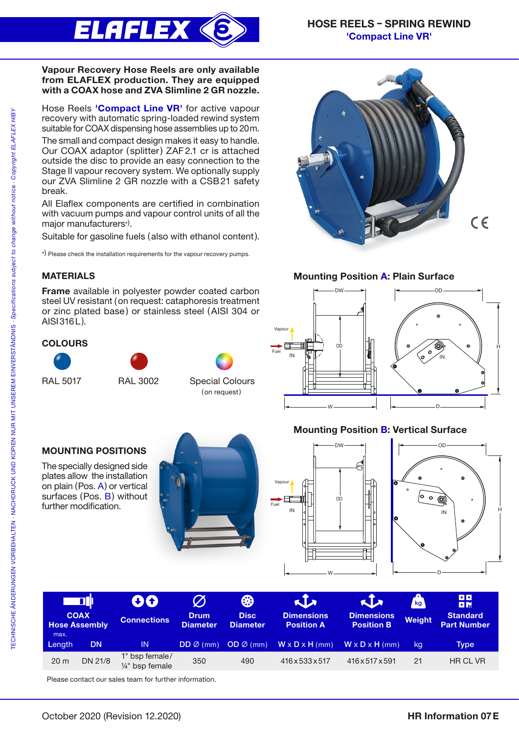

Mounting Position A: Plain Surface

 $\leftarrow$  DW  $\longrightarrow$ 

{

} DD

} { W } { D

#### Vapour Recovery Hose Reels are only available from ELAFLEX production. They are equipped with a COAX hose and ZVA Slimline 2 GR nozzle.

Hose Reels 'Compact Line VR' for active vapour recovery with automatic spring-loaded rewind system suitable for COAX dispensing hose assemblies up to 20m.

The small and compact design makes it easy to handle. Our COAX adaptor ( splitter) ZAF2.1 cr is attached outside the disc to provide an easy connection to the Stage II vapour recovery system. We optionally supply our ZVA Slimline 2 GR nozzle with a CSB21 safety break.

All Elaflex components are certified in combination with vacuum pumps and vapour control units of all the major manufacturers\*) .

Suitable for gasoline fuels (also with ethanol content).

\*) Please check the installation requirements for the vapour recovery pumps.

## MATERIALS

Frame available in polyester powder coated carbon steel UV resistant (on request: cataphoresis treatment or zinc plated base) or stainless steel (AISI 304 or AISI316L).

## **COLOURS**







(on request)

# MOUNTING POSITIONS

The specially designed side plates allow the installation on plain (Pos. A) or vertical surfaces (Pos. B) without further modification.





 $IN$ 

Vapour



 $\leftarrow$  0D  $\rightarrow$ 

IN

{

 $C \in$ 

|<br>|<br>|<br>|

| <u> E DI</u> I<br><b>COAX</b><br><b>Hose Assembly</b><br>max. |           | 80<br><b>Connections</b>                       | <b>Drum</b><br><b>Diameter</b> | ₩<br><b>Disc</b><br><b>Diameter</b> | $\sqrt{2}$<br><b>Dimensions</b><br><b>Position A</b> | KIX<br><b>Dimensions</b><br><b>Position B</b> | kg <sub>1</sub><br><b>Weight</b> | <b>DD</b><br><b>DM</b><br><b>Standard</b><br><b>Part Number</b> |
|---------------------------------------------------------------|-----------|------------------------------------------------|--------------------------------|-------------------------------------|------------------------------------------------------|-----------------------------------------------|----------------------------------|-----------------------------------------------------------------|
| Length                                                        | <b>DN</b> | <b>IN</b>                                      | $DD \varnothing$ (mm)          | $OD \varnothing$ (mm)               | $W \times D \times H$ (mm)                           | $W \times D \times H$ (mm)                    | kq                               | Type                                                            |
| 20 <sub>m</sub>                                               | DN 21/8   | 1" bsp female/<br>1/ <sub>4</sub> " bsp female | 350                            | 490                                 | 416 x 533 x 517                                      | 416x517x591                                   | 21                               | HR CL VR                                                        |

Please contact our sales team for further information.